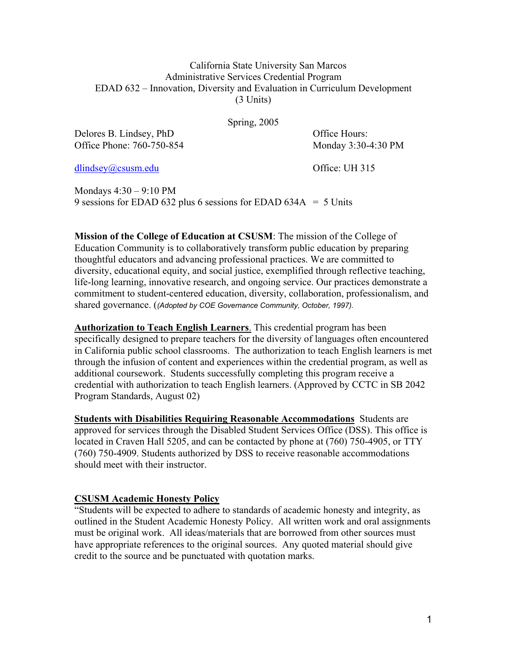### California State University San Marcos Administrative Services Credential Program EDAD 632 – Innovation, Diversity and Evaluation in Curriculum Development (3 Units)

Spring, 2005

Delores B. Lindsey, PhD Office Hours: Office Phone: 760-750-854 Monday 3:30-4:30 PM

dlindsey@csusm.edu Office: UH 315

Mondays 4:30 – 9:10 PM 9 sessions for EDAD 632 plus 6 sessions for EDAD 634A  $=$  5 Units

**Mission of the College of Education at CSUSM**: The mission of the College of Education Community is to collaboratively transform public education by preparing thoughtful educators and advancing professional practices. We are committed to diversity, educational equity, and social justice, exemplified through reflective teaching, life-long learning, innovative research, and ongoing service. Our practices demonstrate a commitment to student-centered education, diversity, collaboration, professionalism, and shared governance. (*(Adopted by COE Governance Community, October, 1997).*

**Authorization to Teach English Learners**. This credential program has been specifically designed to prepare teachers for the diversity of languages often encountered in California public school classrooms. The authorization to teach English learners is met through the infusion of content and experiences within the credential program, as well as additional coursework. Students successfully completing this program receive a credential with authorization to teach English learners. (Approved by CCTC in SB 2042 Program Standards, August 02)

**Students with Disabilities Requiring Reasonable Accommodations** Students are approved for services through the Disabled Student Services Office (DSS). This office is located in Craven Hall 5205, and can be contacted by phone at (760) 750-4905, or TTY (760) 750-4909. Students authorized by DSS to receive reasonable accommodations should meet with their instructor.

### **CSUSM Academic Honesty Policy**

"Students will be expected to adhere to standards of academic honesty and integrity, as outlined in the Student Academic Honesty Policy. All written work and oral assignments must be original work. All ideas/materials that are borrowed from other sources must have appropriate references to the original sources. Any quoted material should give credit to the source and be punctuated with quotation marks.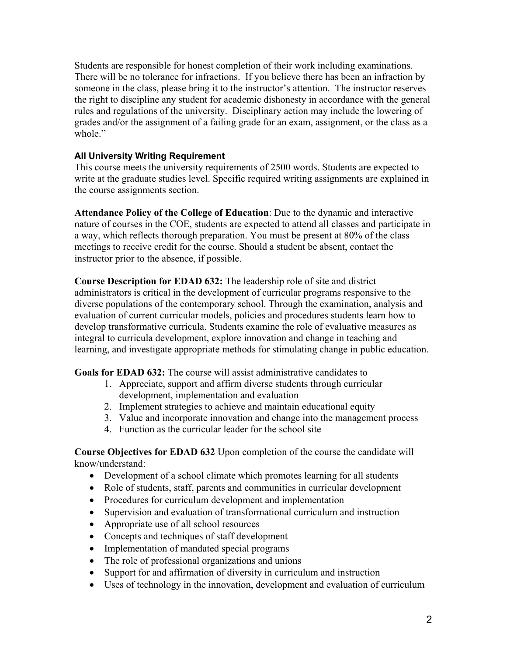Students are responsible for honest completion of their work including examinations. There will be no tolerance for infractions. If you believe there has been an infraction by someone in the class, please bring it to the instructor's attention. The instructor reserves the right to discipline any student for academic dishonesty in accordance with the general rules and regulations of the university. Disciplinary action may include the lowering of grades and/or the assignment of a failing grade for an exam, assignment, or the class as a whole"

## **All University Writing Requirement**

This course meets the university requirements of 2500 words. Students are expected to write at the graduate studies level. Specific required writing assignments are explained in the course assignments section.

**Attendance Policy of the College of Education**: Due to the dynamic and interactive nature of courses in the COE, students are expected to attend all classes and participate in a way, which reflects thorough preparation. You must be present at 80% of the class meetings to receive credit for the course. Should a student be absent, contact the instructor prior to the absence, if possible.

**Course Description for EDAD 632:** The leadership role of site and district administrators is critical in the development of curricular programs responsive to the diverse populations of the contemporary school. Through the examination, analysis and evaluation of current curricular models, policies and procedures students learn how to develop transformative curricula. Students examine the role of evaluative measures as integral to curricula development, explore innovation and change in teaching and learning, and investigate appropriate methods for stimulating change in public education.

**Goals for EDAD 632:** The course will assist administrative candidates to

- 1. Appreciate, support and affirm diverse students through curricular development, implementation and evaluation
- 2. Implement strategies to achieve and maintain educational equity
- 3. Value and incorporate innovation and change into the management process
- 4. Function as the curricular leader for the school site

**Course Objectives for EDAD 632** Upon completion of the course the candidate will know/understand:

- Development of a school climate which promotes learning for all students
- Role of students, staff, parents and communities in curricular development
- Procedures for curriculum development and implementation
- Supervision and evaluation of transformational curriculum and instruction
- Appropriate use of all school resources
- Concepts and techniques of staff development
- Implementation of mandated special programs
- The role of professional organizations and unions
- Support for and affirmation of diversity in curriculum and instruction
- Uses of technology in the innovation, development and evaluation of curriculum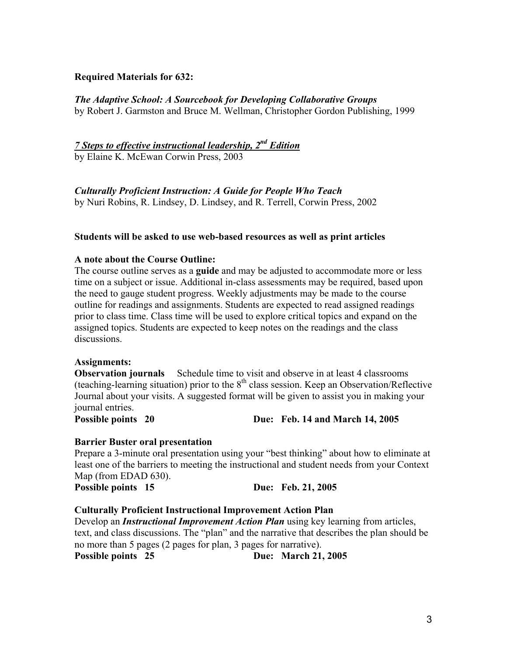## **Required Materials for 632:**

# *The Adaptive School: A Sourcebook for Developing Collaborative Groups*

by Robert J. Garmston and Bruce M. Wellman, Christopher Gordon Publishing, 1999

# *7 Steps to effective instructional leadership, 2nd Edition*

by Elaine K. McEwan Corwin Press, 2003

*Culturally Proficient Instruction: A Guide for People Who Teach* 

by Nuri Robins, R. Lindsey, D. Lindsey, and R. Terrell, Corwin Press, 2002

#### **Students will be asked to use web-based resources as well as print articles**

### **A note about the Course Outline:**

The course outline serves as a **guide** and may be adjusted to accommodate more or less time on a subject or issue. Additional in-class assessments may be required, based upon the need to gauge student progress. Weekly adjustments may be made to the course outline for readings and assignments. Students are expected to read assigned readings prior to class time. Class time will be used to explore critical topics and expand on the assigned topics. Students are expected to keep notes on the readings and the class discussions.

#### **Assignments:**

**Observation journals** Schedule time to visit and observe in at least 4 classrooms (teaching-learning situation) prior to the  $8<sup>th</sup>$  class session. Keep an Observation/Reflective Journal about your visits. A suggested format will be given to assist you in making your journal entries.

**Possible points 20 Due: Feb. 14 and March 14, 2005** 

### **Barrier Buster oral presentation**

Prepare a 3-minute oral presentation using your "best thinking" about how to eliminate at least one of the barriers to meeting the instructional and student needs from your Context Map (from EDAD 630).

**Possible points 15 Due: Feb. 21, 2005** 

### **Culturally Proficient Instructional Improvement Action Plan**

Develop an *Instructional Improvement Action Plan* using key learning from articles, text, and class discussions. The "plan" and the narrative that describes the plan should be no more than 5 pages (2 pages for plan, 3 pages for narrative). **Possible points 25 Due: March 21, 2005**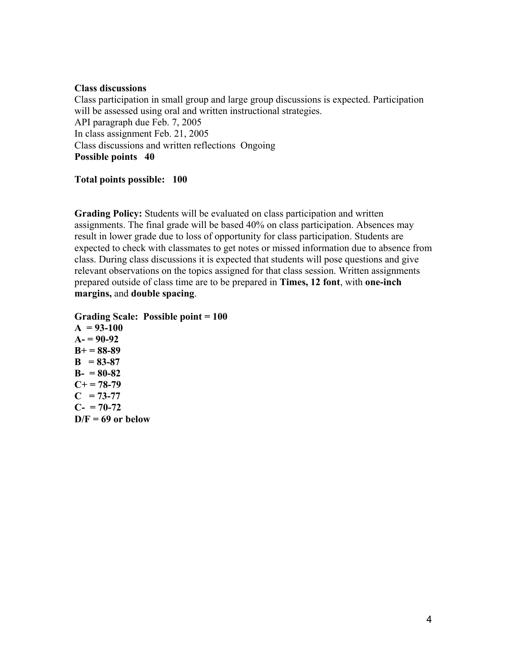#### **Class discussions**

Class participation in small group and large group discussions is expected. Participation will be assessed using oral and written instructional strategies. API paragraph due Feb. 7, 2005 In class assignment Feb. 21, 2005 Class discussions and written reflections Ongoing **Possible points 40** 

### **Total points possible: 100**

**Grading Policy:** Students will be evaluated on class participation and written assignments. The final grade will be based 40% on class participation. Absences may result in lower grade due to loss of opportunity for class participation. Students are expected to check with classmates to get notes or missed information due to absence from class. During class discussions it is expected that students will pose questions and give relevant observations on the topics assigned for that class session. Written assignments prepared outside of class time are to be prepared in **Times, 12 font**, with **one-inch margins,** and **double spacing**.

**Grading Scale: Possible point = 100** 

**A = 93-100 A- = 90-92 B+ = 88-89**   $B = 83-87$ **B- = 80-82**   $C+= 78-79$  $C = 73-77$  $C- = 70-72$  $D/F = 69$  or below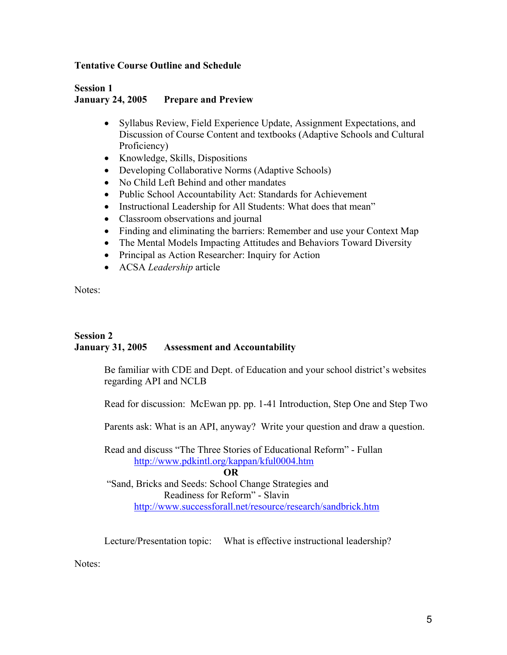### **Tentative Course Outline and Schedule**

### **Session 1 January 24, 2005 Prepare and Preview**

- Syllabus Review, Field Experience Update, Assignment Expectations, and Discussion of Course Content and textbooks (Adaptive Schools and Cultural Proficiency)
- Knowledge, Skills, Dispositions
- Developing Collaborative Norms (Adaptive Schools)
- No Child Left Behind and other mandates
- Public School Accountability Act: Standards for Achievement
- Instructional Leadership for All Students: What does that mean"
- Classroom observations and journal
- Finding and eliminating the barriers: Remember and use your Context Map
- The Mental Models Impacting Attitudes and Behaviors Toward Diversity
- Principal as Action Researcher: Inquiry for Action
- ACSA *Leadership* article

Notes:

# **Session 2 January 31, 2005 Assessment and Accountability**

Be familiar with CDE and Dept. of Education and your school district's websites regarding API and NCLB

Read for discussion: McEwan pp. pp. 1-41 Introduction, Step One and Step Two

Parents ask: What is an API, anyway? Write your question and draw a question.

Read and discuss "The Three Stories of Educational Reform" - Fullan http://www.pdkintl.org/kappan/kful0004.htm

**OR**

 "Sand, Bricks and Seeds: School Change Strategies and Readiness for Reform" - Slavin http://www.successforall.net/resource/research/sandbrick.htm

Lecture/Presentation topic: What is effective instructional leadership?

Notes<sup>.</sup>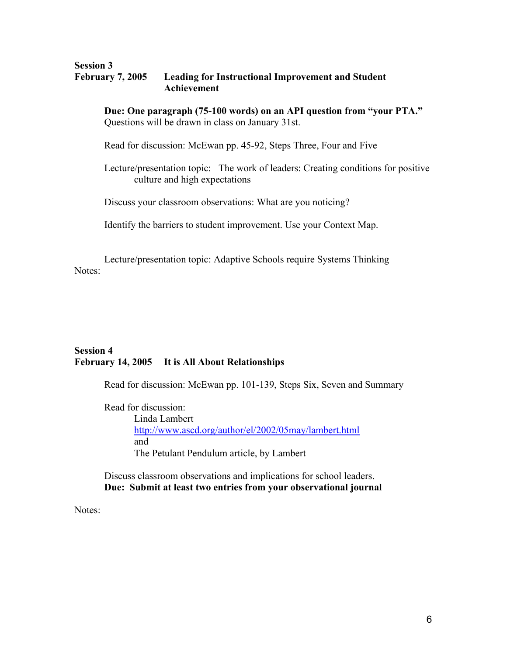#### **Session 3 February 7, 2005 Leading for Instructional Improvement and Student Achievement**

**Due: One paragraph (75-100 words) on an API question from "your PTA."**  Questions will be drawn in class on January 31st.

Read for discussion: McEwan pp. 45-92, Steps Three, Four and Five

Lecture/presentation topic: The work of leaders: Creating conditions for positive culture and high expectations

Discuss your classroom observations: What are you noticing?

Identify the barriers to student improvement. Use your Context Map.

Lecture/presentation topic: Adaptive Schools require Systems Thinking Notes:

## **Session 4 February 14, 2005 It is All About Relationships**

Read for discussion: McEwan pp. 101-139, Steps Six, Seven and Summary

Read for discussion: Linda Lambert http://www.ascd.org/author/el/2002/05may/lambert.html and The Petulant Pendulum article, by Lambert

Discuss classroom observations and implications for school leaders. **Due: Submit at least two entries from your observational journal** 

Notes: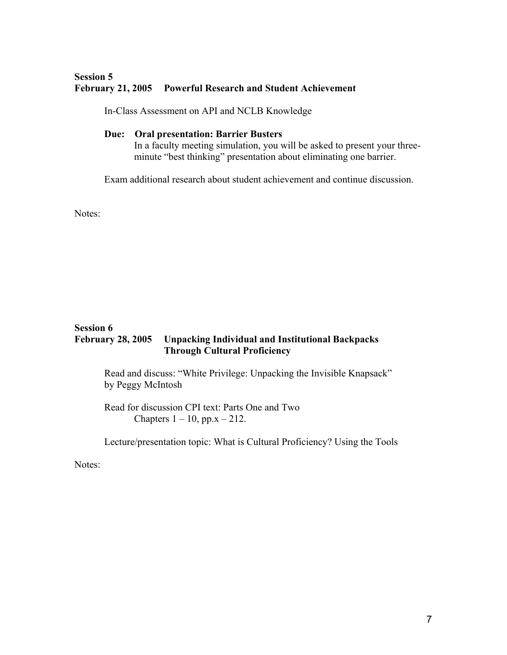# **Session 5 February 21, 2005 Powerful Research and Student Achievement**

In-Class Assessment on API and NCLB Knowledge

## **Due: Oral presentation: Barrier Busters**

In a faculty meeting simulation, you will be asked to present your threeminute "best thinking" presentation about eliminating one barrier.

Exam additional research about student achievement and continue discussion.

Notes:

#### **Session 6 February 28, 2005 Unpacking Individual and Institutional Backpacks Through Cultural Proficiency**

Read and discuss: "White Privilege: Unpacking the Invisible Knapsack" by Peggy McIntosh

Read for discussion CPI text: Parts One and Two Chapters  $1 - 10$ , pp.x  $- 212$ .

Lecture/presentation topic: What is Cultural Proficiency? Using the Tools

Notes: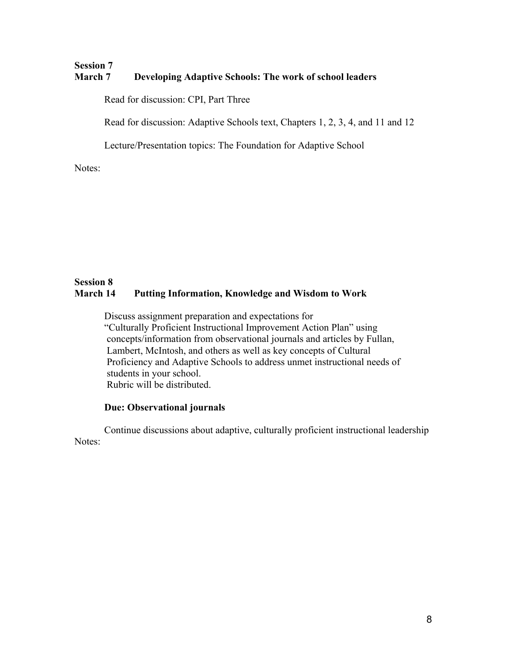# **Session 7 March 7 Developing Adaptive Schools: The work of school leaders**

Read for discussion: CPI, Part Three

Read for discussion: Adaptive Schools text, Chapters 1, 2, 3, 4, and 11 and 12

Lecture/Presentation topics: The Foundation for Adaptive School

Notes:

# **Session 8 March 14 Putting Information, Knowledge and Wisdom to Work**

Discuss assignment preparation and expectations for "Culturally Proficient Instructional Improvement Action Plan" using concepts/information from observational journals and articles by Fullan, Lambert, McIntosh, and others as well as key concepts of Cultural Proficiency and Adaptive Schools to address unmet instructional needs of students in your school. Rubric will be distributed.

### **Due: Observational journals**

Continue discussions about adaptive, culturally proficient instructional leadership Notes: